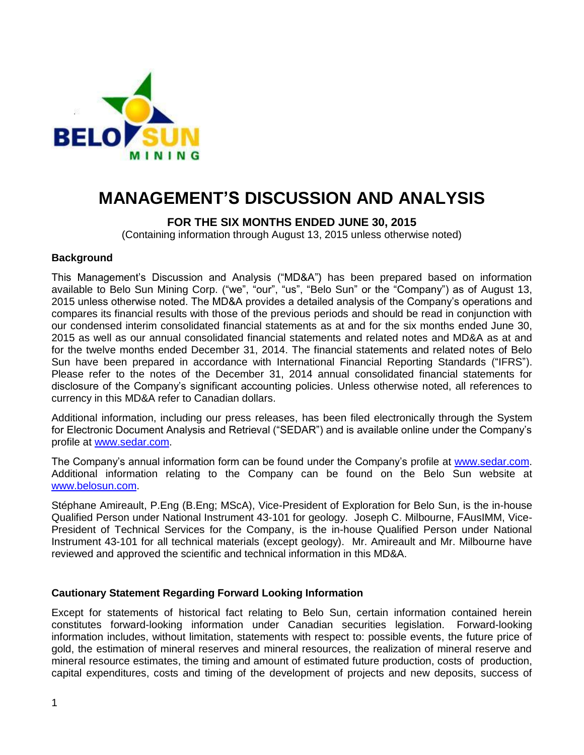

# **MANAGEMENT'S DISCUSSION AND ANALYSIS**

# **FOR THE SIX MONTHS ENDED JUNE 30, 2015**

(Containing information through August 13, 2015 unless otherwise noted)

## **Background**

This Management's Discussion and Analysis ("MD&A") has been prepared based on information available to Belo Sun Mining Corp. ("we", "our", "us", "Belo Sun" or the "Company") as of August 13, 2015 unless otherwise noted. The MD&A provides a detailed analysis of the Company's operations and compares its financial results with those of the previous periods and should be read in conjunction with our condensed interim consolidated financial statements as at and for the six months ended June 30, 2015 as well as our annual consolidated financial statements and related notes and MD&A as at and for the twelve months ended December 31, 2014. The financial statements and related notes of Belo Sun have been prepared in accordance with International Financial Reporting Standards ("IFRS"). Please refer to the notes of the December 31, 2014 annual consolidated financial statements for disclosure of the Company's significant accounting policies. Unless otherwise noted, all references to currency in this MD&A refer to Canadian dollars.

Additional information, including our press releases, has been filed electronically through the System for Electronic Document Analysis and Retrieval ("SEDAR") and is available online under the Company's profile at [www.sedar.com.](http://www.sedar.com/)

The Company's annual information form can be found under the Company's profile at [www.sedar.com.](http://www.sedar.com/) Additional information relating to the Company can be found on the Belo Sun website at [www.belosun.com.](http://www.belosun.com/)

Stéphane Amireault, P.Eng (B.Eng; MScA), Vice-President of Exploration for Belo Sun, is the in-house Qualified Person under National Instrument 43-101 for geology. Joseph C. Milbourne, FAusIMM, Vice-President of Technical Services for the Company, is the in-house Qualified Person under National Instrument 43-101 for all technical materials (except geology). Mr. Amireault and Mr. Milbourne have reviewed and approved the scientific and technical information in this MD&A.

# **Cautionary Statement Regarding Forward Looking Information**

Except for statements of historical fact relating to Belo Sun, certain information contained herein constitutes forward-looking information under Canadian securities legislation. Forward-looking information includes, without limitation, statements with respect to: possible events, the future price of gold, the estimation of mineral reserves and mineral resources, the realization of mineral reserve and mineral resource estimates, the timing and amount of estimated future production, costs of production, capital expenditures, costs and timing of the development of projects and new deposits, success of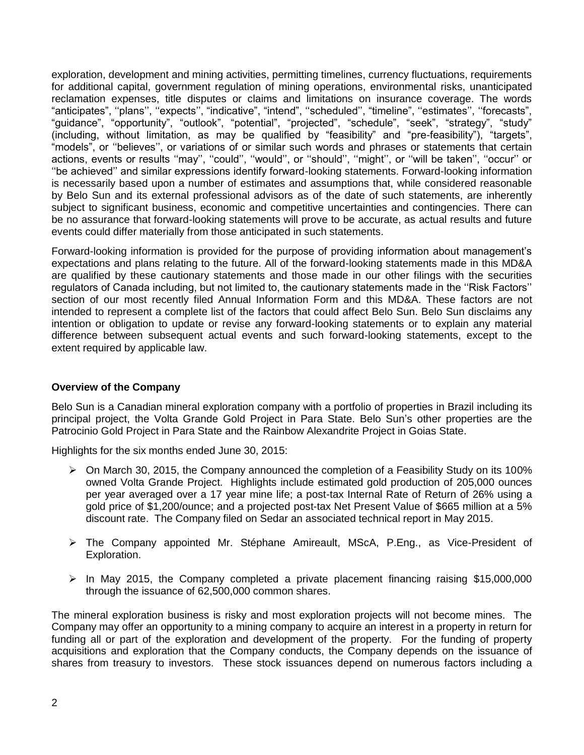exploration, development and mining activities, permitting timelines, currency fluctuations, requirements for additional capital, government regulation of mining operations, environmental risks, unanticipated reclamation expenses, title disputes or claims and limitations on insurance coverage. The words "anticipates", ''plans'', ''expects'', "indicative", "intend", ''scheduled'', "timeline", ''estimates'', ''forecasts", "guidance", "opportunity", "outlook", "potential", "projected", "schedule", "seek", "strategy", "study" (including, without limitation, as may be qualified by "feasibility" and "pre-feasibility"), "targets", "models", or ''believes'', or variations of or similar such words and phrases or statements that certain actions, events or results "may", "could", "would", or "should", "might", or "will be taken", "occur" or ''be achieved'' and similar expressions identify forward-looking statements. Forward-looking information is necessarily based upon a number of estimates and assumptions that, while considered reasonable by Belo Sun and its external professional advisors as of the date of such statements, are inherently subject to significant business, economic and competitive uncertainties and contingencies. There can be no assurance that forward-looking statements will prove to be accurate, as actual results and future events could differ materially from those anticipated in such statements.

Forward-looking information is provided for the purpose of providing information about management's expectations and plans relating to the future. All of the forward-looking statements made in this MD&A are qualified by these cautionary statements and those made in our other filings with the securities regulators of Canada including, but not limited to, the cautionary statements made in the ''Risk Factors'' section of our most recently filed Annual Information Form and this MD&A. These factors are not intended to represent a complete list of the factors that could affect Belo Sun. Belo Sun disclaims any intention or obligation to update or revise any forward-looking statements or to explain any material difference between subsequent actual events and such forward-looking statements, except to the extent required by applicable law.

# **Overview of the Company**

Belo Sun is a Canadian mineral exploration company with a portfolio of properties in Brazil including its principal project, the Volta Grande Gold Project in Para State. Belo Sun's other properties are the Patrocinio Gold Project in Para State and the Rainbow Alexandrite Project in Goias State.

Highlights for the six months ended June 30, 2015:

- $\triangleright$  On March 30, 2015, the Company announced the completion of a Feasibility Study on its 100% owned Volta Grande Project. Highlights include estimated gold production of 205,000 ounces per year averaged over a 17 year mine life; a post-tax Internal Rate of Return of 26% using a gold price of \$1,200/ounce; and a projected post-tax Net Present Value of \$665 million at a 5% discount rate. The Company filed on Sedar an associated technical report in May 2015.
- The Company appointed Mr. Stéphane Amireault, MScA, P.Eng., as Vice-President of Exploration.
- $\triangleright$  In May 2015, the Company completed a private placement financing raising \$15,000,000 through the issuance of 62,500,000 common shares.

The mineral exploration business is risky and most exploration projects will not become mines. The Company may offer an opportunity to a mining company to acquire an interest in a property in return for funding all or part of the exploration and development of the property. For the funding of property acquisitions and exploration that the Company conducts, the Company depends on the issuance of shares from treasury to investors. These stock issuances depend on numerous factors including a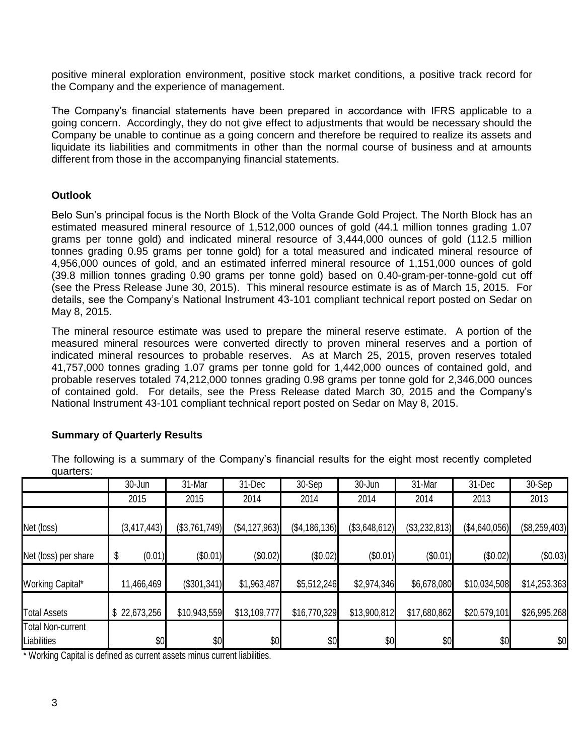positive mineral exploration environment, positive stock market conditions, a positive track record for the Company and the experience of management.

The Company's financial statements have been prepared in accordance with IFRS applicable to a going concern. Accordingly, they do not give effect to adjustments that would be necessary should the Company be unable to continue as a going concern and therefore be required to realize its assets and liquidate its liabilities and commitments in other than the normal course of business and at amounts different from those in the accompanying financial statements.

# **Outlook**

Belo Sun's principal focus is the North Block of the Volta Grande Gold Project. The North Block has an estimated measured mineral resource of 1,512,000 ounces of gold (44.1 million tonnes grading 1.07 grams per tonne gold) and indicated mineral resource of 3,444,000 ounces of gold (112.5 million tonnes grading 0.95 grams per tonne gold) for a total measured and indicated mineral resource of 4,956,000 ounces of gold, and an estimated inferred mineral resource of 1,151,000 ounces of gold (39.8 million tonnes grading 0.90 grams per tonne gold) based on 0.40-gram-per-tonne-gold cut off (see the Press Release June 30, 2015). This mineral resource estimate is as of March 15, 2015. For details, see the Company's National Instrument 43-101 compliant technical report posted on Sedar on May 8, 2015.

The mineral resource estimate was used to prepare the mineral reserve estimate. A portion of the measured mineral resources were converted directly to proven mineral reserves and a portion of indicated mineral resources to probable reserves. As at March 25, 2015, proven reserves totaled 41,757,000 tonnes grading 1.07 grams per tonne gold for 1,442,000 ounces of contained gold, and probable reserves totaled 74,212,000 tonnes grading 0.98 grams per tonne gold for 2,346,000 ounces of contained gold. For details, see the Press Release dated March 30, 2015 and the Company's National Instrument 43-101 compliant technical report posted on Sedar on May 8, 2015.

# **Summary of Quarterly Results**

The following is a summary of the Company's financial results for the eight most recently completed quarters:

|                                         | 30-Jun        | 31-Mar        | 31-Dec          | 30-Sep        | 30-Jun        | 31-Mar        | 31-Dec        | 30-Sep        |
|-----------------------------------------|---------------|---------------|-----------------|---------------|---------------|---------------|---------------|---------------|
|                                         | 2015          | 2015          | 2014            | 2014          | 2014          | 2014          | 2013          | 2013          |
| Net (loss)                              | (3, 417, 443) | (\$3,761,749) | (\$4, 127, 963) | (\$4,186,136) | (\$3,648,612) | (\$3,232,813) | (\$4,640,056) | (\$8,259,403) |
| Net (loss) per share                    | (0.01)        | (\$0.01)      | (\$0.02)        | (\$0.02)      | (\$0.01)      | (\$0.01)      | (\$0.02)      | (\$0.03)      |
| Working Capital*                        | 11,466,469    | (\$301,341)   | \$1,963,487     | \$5,512,246   | \$2,974,346   | \$6,678,080   | \$10,034,508  | \$14,253,363  |
| <b>Total Assets</b>                     | \$22,673,256  | \$10,943,559  | \$13,109,777    | \$16,770,329  | \$13,900,812  | \$17,680,862  | \$20,579,101  | \$26,995,268  |
| <b>Total Non-current</b><br>Liabilities | \$0           | \$0           | \$0             | \$0           | \$0           | \$0           | \$0           | \$0           |

\* Working Capital is defined as current assets minus current liabilities.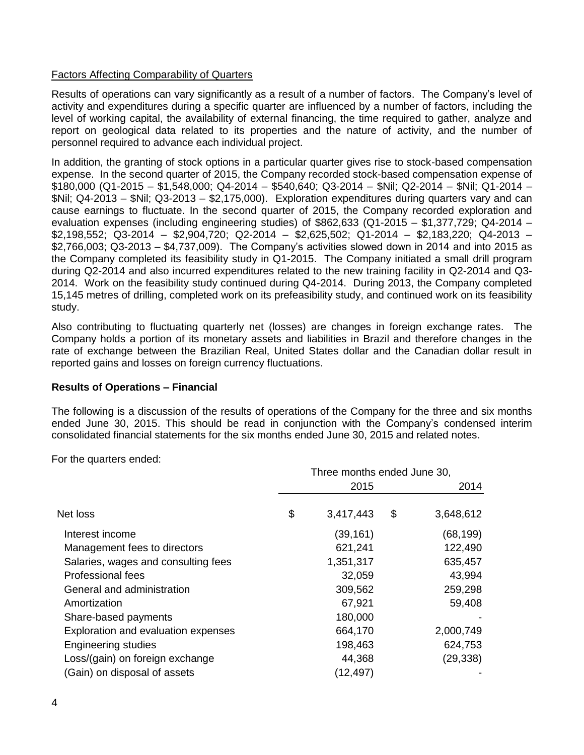# Factors Affecting Comparability of Quarters

Results of operations can vary significantly as a result of a number of factors. The Company's level of activity and expenditures during a specific quarter are influenced by a number of factors, including the level of working capital, the availability of external financing, the time required to gather, analyze and report on geological data related to its properties and the nature of activity, and the number of personnel required to advance each individual project.

In addition, the granting of stock options in a particular quarter gives rise to stock-based compensation expense. In the second quarter of 2015, the Company recorded stock-based compensation expense of \$180,000 (Q1-2015 – \$1,548,000; Q4-2014 – \$540,640; Q3-2014 – \$Nil; Q2-2014 – \$Nil; Q1-2014 – \$Nil; Q4-2013 – \$Nil; Q3-2013 – \$2,175,000). Exploration expenditures during quarters vary and can cause earnings to fluctuate. In the second quarter of 2015, the Company recorded exploration and evaluation expenses (including engineering studies) of \$862,633 (Q1-2015 – \$1,377,729; Q4-2014 – \$2,198,552; Q3-2014 – \$2,904,720; Q2-2014 – \$2,625,502; Q1-2014 – \$2,183,220; Q4-2013 – \$2,766,003; Q3-2013 – \$4,737,009). The Company's activities slowed down in 2014 and into 2015 as the Company completed its feasibility study in Q1-2015. The Company initiated a small drill program during Q2-2014 and also incurred expenditures related to the new training facility in Q2-2014 and Q3- 2014. Work on the feasibility study continued during Q4-2014. During 2013, the Company completed 15,145 metres of drilling, completed work on its prefeasibility study, and continued work on its feasibility study.

Also contributing to fluctuating quarterly net (losses) are changes in foreign exchange rates. The Company holds a portion of its monetary assets and liabilities in Brazil and therefore changes in the rate of exchange between the Brazilian Real, United States dollar and the Canadian dollar result in reported gains and losses on foreign currency fluctuations.

#### **Results of Operations – Financial**

The following is a discussion of the results of operations of the Company for the three and six months ended June 30, 2015. This should be read in conjunction with the Company's condensed interim consolidated financial statements for the six months ended June 30, 2015 and related notes.

For the quarters ended:

|                                     | Three months ended June 30, |           |    |           |  |  |
|-------------------------------------|-----------------------------|-----------|----|-----------|--|--|
|                                     |                             | 2015      |    | 2014      |  |  |
| Net loss                            | \$                          | 3,417,443 | \$ | 3,648,612 |  |  |
| Interest income                     |                             | (39, 161) |    | (68,199)  |  |  |
| Management fees to directors        |                             | 621,241   |    | 122,490   |  |  |
| Salaries, wages and consulting fees |                             | 1,351,317 |    | 635,457   |  |  |
| Professional fees                   |                             | 32,059    |    | 43,994    |  |  |
| General and administration          |                             | 309,562   |    | 259,298   |  |  |
| Amortization                        |                             | 67,921    |    | 59,408    |  |  |
| Share-based payments                |                             | 180,000   |    |           |  |  |
| Exploration and evaluation expenses |                             | 664,170   |    | 2,000,749 |  |  |
| <b>Engineering studies</b>          |                             | 198,463   |    | 624,753   |  |  |
| Loss/(gain) on foreign exchange     |                             | 44,368    |    | (29,338)  |  |  |
| (Gain) on disposal of assets        |                             | (12, 497) |    |           |  |  |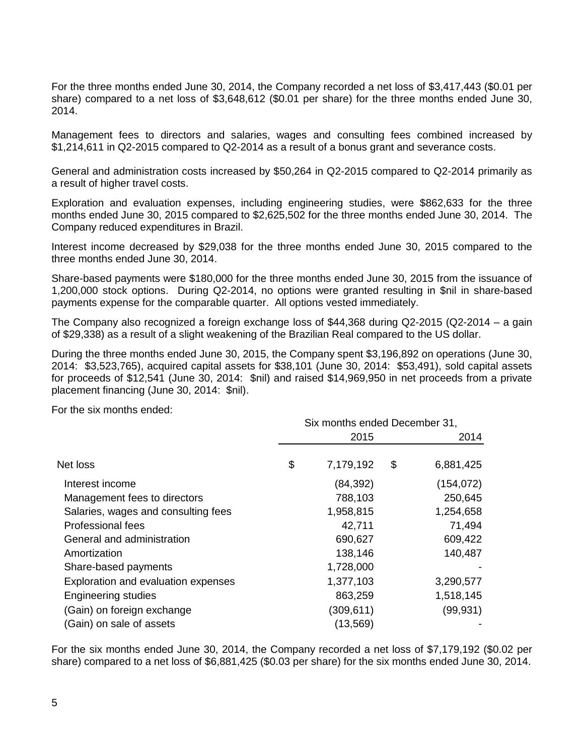For the three months ended June 30, 2014, the Company recorded a net loss of \$3,417,443 (\$0.01 per share) compared to a net loss of \$3,648,612 (\$0.01 per share) for the three months ended June 30, 2014.

Management fees to directors and salaries, wages and consulting fees combined increased by \$1,214,611 in Q2-2015 compared to Q2-2014 as a result of a bonus grant and severance costs.

General and administration costs increased by \$50,264 in Q2-2015 compared to Q2-2014 primarily as a result of higher travel costs.

Exploration and evaluation expenses, including engineering studies, were \$862,633 for the three months ended June 30, 2015 compared to \$2,625,502 for the three months ended June 30, 2014. The Company reduced expenditures in Brazil.

Interest income decreased by \$29,038 for the three months ended June 30, 2015 compared to the three months ended June 30, 2014.

Share-based payments were \$180,000 for the three months ended June 30, 2015 from the issuance of 1,200,000 stock options. During Q2-2014, no options were granted resulting in \$nil in share-based payments expense for the comparable quarter. All options vested immediately.

The Company also recognized a foreign exchange loss of \$44,368 during Q2-2015 (Q2-2014 – a gain of \$29,338) as a result of a slight weakening of the Brazilian Real compared to the US dollar.

During the three months ended June 30, 2015, the Company spent \$3,196,892 on operations (June 30, 2014: \$3,523,765), acquired capital assets for \$38,101 (June 30, 2014: \$53,491), sold capital assets for proceeds of \$12,541 (June 30, 2014: \$nil) and raised \$14,969,950 in net proceeds from a private placement financing (June 30, 2014: \$nil).

For the six months ended:

|                                     | Six months ended December 31, |            |      |            |  |  |
|-------------------------------------|-------------------------------|------------|------|------------|--|--|
|                                     |                               | 2015       | 2014 |            |  |  |
| Net loss                            | \$                            | 7,179,192  | \$   | 6,881,425  |  |  |
| Interest income                     |                               | (84, 392)  |      | (154, 072) |  |  |
| Management fees to directors        |                               | 788,103    |      | 250,645    |  |  |
| Salaries, wages and consulting fees |                               | 1,958,815  |      | 1,254,658  |  |  |
| Professional fees                   |                               | 42,711     |      | 71,494     |  |  |
| General and administration          |                               | 690,627    |      | 609,422    |  |  |
| Amortization                        |                               | 138,146    |      | 140,487    |  |  |
| Share-based payments                |                               | 1,728,000  |      |            |  |  |
| Exploration and evaluation expenses |                               | 1,377,103  |      | 3,290,577  |  |  |
| <b>Engineering studies</b>          |                               | 863,259    |      | 1,518,145  |  |  |
| (Gain) on foreign exchange          |                               | (309, 611) |      | (99, 931)  |  |  |
| (Gain) on sale of assets            |                               | (13, 569)  |      |            |  |  |

For the six months ended June 30, 2014, the Company recorded a net loss of \$7,179,192 (\$0.02 per share) compared to a net loss of \$6,881,425 (\$0.03 per share) for the six months ended June 30, 2014.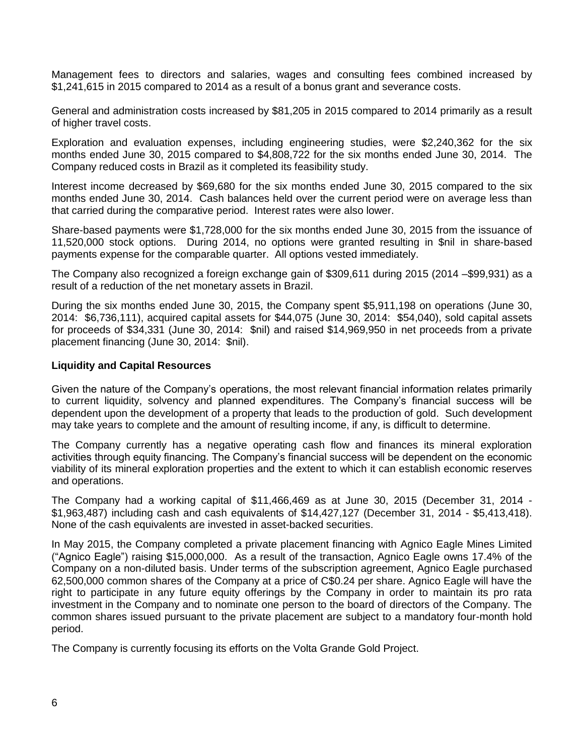Management fees to directors and salaries, wages and consulting fees combined increased by \$1,241,615 in 2015 compared to 2014 as a result of a bonus grant and severance costs.

General and administration costs increased by \$81,205 in 2015 compared to 2014 primarily as a result of higher travel costs.

Exploration and evaluation expenses, including engineering studies, were \$2,240,362 for the six months ended June 30, 2015 compared to \$4,808,722 for the six months ended June 30, 2014. The Company reduced costs in Brazil as it completed its feasibility study.

Interest income decreased by \$69,680 for the six months ended June 30, 2015 compared to the six months ended June 30, 2014. Cash balances held over the current period were on average less than that carried during the comparative period. Interest rates were also lower.

Share-based payments were \$1,728,000 for the six months ended June 30, 2015 from the issuance of 11,520,000 stock options. During 2014, no options were granted resulting in \$nil in share-based payments expense for the comparable quarter. All options vested immediately.

The Company also recognized a foreign exchange gain of \$309,611 during 2015 (2014 –\$99,931) as a result of a reduction of the net monetary assets in Brazil.

During the six months ended June 30, 2015, the Company spent \$5,911,198 on operations (June 30, 2014: \$6,736,111), acquired capital assets for \$44,075 (June 30, 2014: \$54,040), sold capital assets for proceeds of \$34,331 (June 30, 2014: \$nil) and raised \$14,969,950 in net proceeds from a private placement financing (June 30, 2014: \$nil).

## **Liquidity and Capital Resources**

Given the nature of the Company's operations, the most relevant financial information relates primarily to current liquidity, solvency and planned expenditures. The Company's financial success will be dependent upon the development of a property that leads to the production of gold. Such development may take years to complete and the amount of resulting income, if any, is difficult to determine.

The Company currently has a negative operating cash flow and finances its mineral exploration activities through equity financing. The Company's financial success will be dependent on the economic viability of its mineral exploration properties and the extent to which it can establish economic reserves and operations.

The Company had a working capital of \$11,466,469 as at June 30, 2015 (December 31, 2014 - \$1,963,487) including cash and cash equivalents of \$14,427,127 (December 31, 2014 - \$5,413,418). None of the cash equivalents are invested in asset-backed securities.

In May 2015, the Company completed a private placement financing with Agnico Eagle Mines Limited ("Agnico Eagle") raising \$15,000,000. As a result of the transaction, Agnico Eagle owns 17.4% of the Company on a non-diluted basis. Under terms of the subscription agreement, Agnico Eagle purchased 62,500,000 common shares of the Company at a price of C\$0.24 per share. Agnico Eagle will have the right to participate in any future equity offerings by the Company in order to maintain its pro rata investment in the Company and to nominate one person to the board of directors of the Company. The common shares issued pursuant to the private placement are subject to a mandatory four-month hold period.

The Company is currently focusing its efforts on the Volta Grande Gold Project.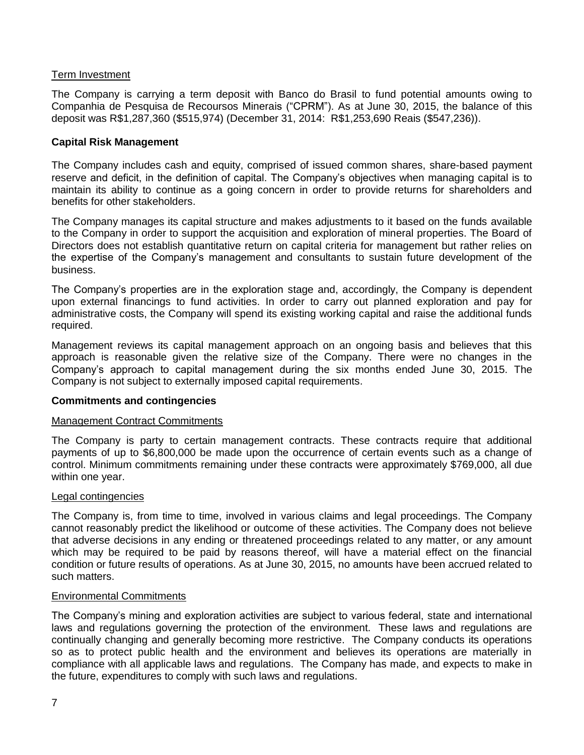# Term Investment

The Company is carrying a term deposit with Banco do Brasil to fund potential amounts owing to Companhia de Pesquisa de Recoursos Minerais ("CPRM"). As at June 30, 2015, the balance of this deposit was R\$1,287,360 (\$515,974) (December 31, 2014: R\$1,253,690 Reais (\$547,236)).

## **Capital Risk Management**

The Company includes cash and equity, comprised of issued common shares, share-based payment reserve and deficit, in the definition of capital. The Company's objectives when managing capital is to maintain its ability to continue as a going concern in order to provide returns for shareholders and benefits for other stakeholders.

The Company manages its capital structure and makes adjustments to it based on the funds available to the Company in order to support the acquisition and exploration of mineral properties. The Board of Directors does not establish quantitative return on capital criteria for management but rather relies on the expertise of the Company's management and consultants to sustain future development of the business.

The Company's properties are in the exploration stage and, accordingly, the Company is dependent upon external financings to fund activities. In order to carry out planned exploration and pay for administrative costs, the Company will spend its existing working capital and raise the additional funds required.

Management reviews its capital management approach on an ongoing basis and believes that this approach is reasonable given the relative size of the Company. There were no changes in the Company's approach to capital management during the six months ended June 30, 2015. The Company is not subject to externally imposed capital requirements.

#### **Commitments and contingencies**

#### Management Contract Commitments

The Company is party to certain management contracts. These contracts require that additional payments of up to \$6,800,000 be made upon the occurrence of certain events such as a change of control. Minimum commitments remaining under these contracts were approximately \$769,000, all due within one year.

#### Legal contingencies

The Company is, from time to time, involved in various claims and legal proceedings. The Company cannot reasonably predict the likelihood or outcome of these activities. The Company does not believe that adverse decisions in any ending or threatened proceedings related to any matter, or any amount which may be required to be paid by reasons thereof, will have a material effect on the financial condition or future results of operations. As at June 30, 2015, no amounts have been accrued related to such matters.

#### Environmental Commitments

The Company's mining and exploration activities are subject to various federal, state and international laws and regulations governing the protection of the environment. These laws and regulations are continually changing and generally becoming more restrictive. The Company conducts its operations so as to protect public health and the environment and believes its operations are materially in compliance with all applicable laws and regulations. The Company has made, and expects to make in the future, expenditures to comply with such laws and regulations.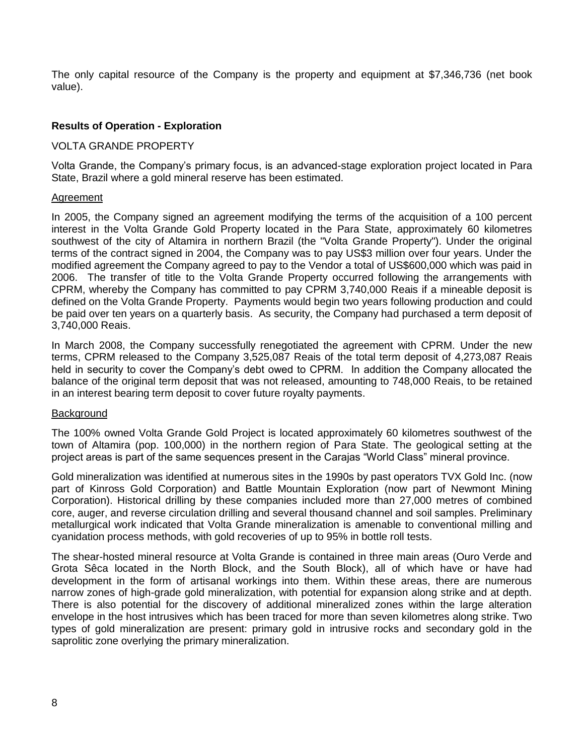The only capital resource of the Company is the property and equipment at \$7,346,736 (net book value).

# **Results of Operation - Exploration**

## VOLTA GRANDE PROPERTY

Volta Grande, the Company's primary focus, is an advanced-stage exploration project located in Para State, Brazil where a gold mineral reserve has been estimated.

#### Agreement

In 2005, the Company signed an agreement modifying the terms of the acquisition of a 100 percent interest in the Volta Grande Gold Property located in the Para State, approximately 60 kilometres southwest of the city of Altamira in northern Brazil (the "Volta Grande Property"). Under the original terms of the contract signed in 2004, the Company was to pay US\$3 million over four years. Under the modified agreement the Company agreed to pay to the Vendor a total of US\$600,000 which was paid in 2006. The transfer of title to the Volta Grande Property occurred following the arrangements with CPRM, whereby the Company has committed to pay CPRM 3,740,000 Reais if a mineable deposit is defined on the Volta Grande Property. Payments would begin two years following production and could be paid over ten years on a quarterly basis. As security, the Company had purchased a term deposit of 3,740,000 Reais.

In March 2008, the Company successfully renegotiated the agreement with CPRM. Under the new terms, CPRM released to the Company 3,525,087 Reais of the total term deposit of 4,273,087 Reais held in security to cover the Company's debt owed to CPRM. In addition the Company allocated the balance of the original term deposit that was not released, amounting to 748,000 Reais, to be retained in an interest bearing term deposit to cover future royalty payments.

#### **Background**

The 100% owned Volta Grande Gold Project is located approximately 60 kilometres southwest of the town of Altamira (pop. 100,000) in the northern region of Para State. The geological setting at the project areas is part of the same sequences present in the Carajas "World Class" mineral province.

Gold mineralization was identified at numerous sites in the 1990s by past operators TVX Gold Inc. (now part of Kinross Gold Corporation) and Battle Mountain Exploration (now part of Newmont Mining Corporation). Historical drilling by these companies included more than 27,000 metres of combined core, auger, and reverse circulation drilling and several thousand channel and soil samples. Preliminary metallurgical work indicated that Volta Grande mineralization is amenable to conventional milling and cyanidation process methods, with gold recoveries of up to 95% in bottle roll tests.

The shear-hosted mineral resource at Volta Grande is contained in three main areas (Ouro Verde and Grota Sêca located in the North Block, and the South Block), all of which have or have had development in the form of artisanal workings into them. Within these areas, there are numerous narrow zones of high-grade gold mineralization, with potential for expansion along strike and at depth. There is also potential for the discovery of additional mineralized zones within the large alteration envelope in the host intrusives which has been traced for more than seven kilometres along strike. Two types of gold mineralization are present: primary gold in intrusive rocks and secondary gold in the saprolitic zone overlying the primary mineralization.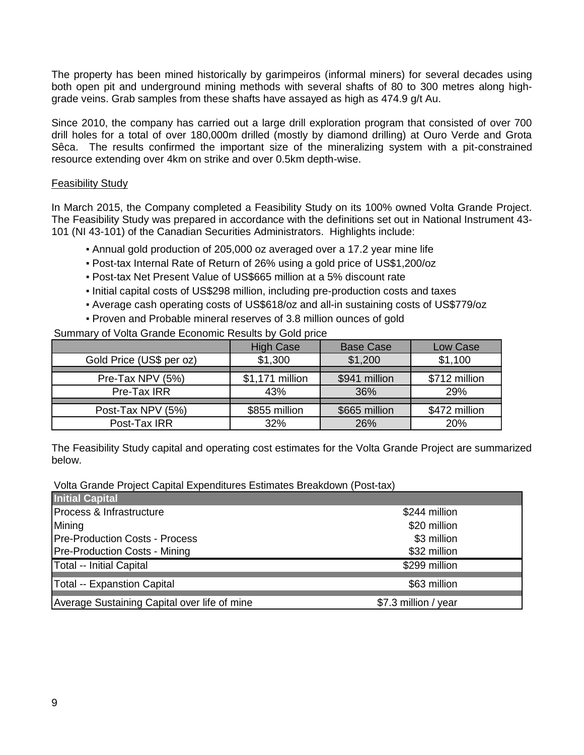The property has been mined historically by garimpeiros (informal miners) for several decades using both open pit and underground mining methods with several shafts of 80 to 300 metres along highgrade veins. Grab samples from these shafts have assayed as high as 474.9 g/t Au.

Since 2010, the company has carried out a large drill exploration program that consisted of over 700 drill holes for a total of over 180,000m drilled (mostly by diamond drilling) at Ouro Verde and Grota Sêca. The results confirmed the important size of the mineralizing system with a pit-constrained resource extending over 4km on strike and over 0.5km depth-wise.

# Feasibility Study

In March 2015, the Company completed a Feasibility Study on its 100% owned Volta Grande Project. The Feasibility Study was prepared in accordance with the definitions set out in National Instrument 43- 101 (NI 43-101) of the Canadian Securities Administrators. Highlights include:

- Annual gold production of 205,000 oz averaged over a 17.2 year mine life
- Post-tax Internal Rate of Return of 26% using a gold price of US\$1,200/oz
- Post-tax Net Present Value of US\$665 million at a 5% discount rate
- Initial capital costs of US\$298 million, including pre-production costs and taxes
- Average cash operating costs of US\$618/oz and all-in sustaining costs of US\$779/oz
- Proven and Probable mineral reserves of 3.8 million ounces of gold

Summary of Volta Grande Economic Results by Gold price

|                          | <b>High Case</b> | <b>Base Case</b> | Low Case      |
|--------------------------|------------------|------------------|---------------|
| Gold Price (US\$ per oz) | \$1,300          | \$1,200          | \$1,100       |
|                          |                  |                  |               |
| Pre-Tax NPV (5%)         | \$1,171 million  | \$941 million    | \$712 million |
| Pre-Tax IRR              | 43%              | 36%              | 29%           |
|                          |                  |                  |               |
| Post-Tax NPV (5%)        | \$855 million    | \$665 million    | \$472 million |
| Post-Tax IRR             | 32%              | 26%              | <b>20%</b>    |

The Feasibility Study capital and operating cost estimates for the Volta Grande Project are summarized below.

Volta Grande Project Capital Expenditures Estimates Breakdown (Post-tax)

| <b>Initial Capital</b>                       |                      |
|----------------------------------------------|----------------------|
| Process & Infrastructure                     | \$244 million        |
| Mining                                       | \$20 million         |
| <b>Pre-Production Costs - Process</b>        | \$3 million          |
| <b>Pre-Production Costs - Mining</b>         | \$32 million         |
| Total -- Initial Capital                     | \$299 million        |
| <b>Total -- Expanstion Capital</b>           | \$63 million         |
| Average Sustaining Capital over life of mine | \$7.3 million / year |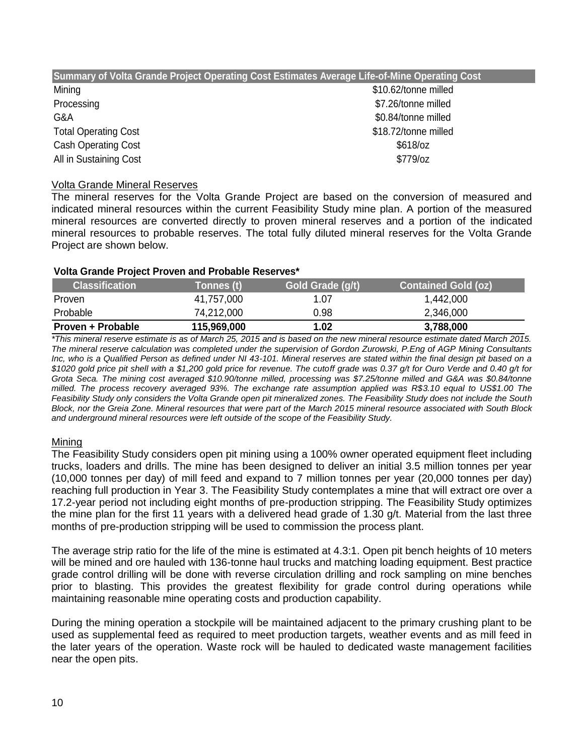| Summary of Volta Grande Project Operating Cost Estimates Average Life-of-Mine Operating Cost |                      |  |  |  |  |
|----------------------------------------------------------------------------------------------|----------------------|--|--|--|--|
| Mining                                                                                       | \$10.62/tonne milled |  |  |  |  |
| Processing                                                                                   | \$7.26/tonne milled  |  |  |  |  |
| G&A                                                                                          | \$0.84/tonne milled  |  |  |  |  |
| <b>Total Operating Cost</b>                                                                  | \$18.72/tonne milled |  |  |  |  |
| <b>Cash Operating Cost</b>                                                                   | $$618$ /oz           |  |  |  |  |
| All in Sustaining Cost                                                                       | $$779$ /oz           |  |  |  |  |

## Volta Grande Mineral Reserves

The mineral reserves for the Volta Grande Project are based on the conversion of measured and indicated mineral resources within the current Feasibility Study mine plan. A portion of the measured mineral resources are converted directly to proven mineral reserves and a portion of the indicated mineral resources to probable reserves. The total fully diluted mineral reserves for the Volta Grande Project are shown below.

#### **Volta Grande Project Proven and Probable Reserves\***

| <b>Classification</b> | Tonnes (t)  | Gold Grade (g/t) | <b>Contained Gold (oz)</b> |
|-----------------------|-------------|------------------|----------------------------|
| Proven                | 41,757,000  | 1.07             | 1,442,000                  |
| Probable              | 74,212,000  | 0.98             | 2,346,000                  |
| Proven + Probable     | 115,969,000 | 1.02             | 3,788,000                  |

*\*This mineral reserve estimate is as of March 25, 2015 and is based on the new mineral resource estimate dated March 2015. The mineral reserve calculation was completed under the supervision of Gordon Zurowski, P.Eng of AGP Mining Consultants Inc, who is a Qualified Person as defined under NI 43-101. Mineral reserves are stated within the final design pit based on a \$1020 gold price pit shell with a \$1,200 gold price for revenue. The cutoff grade was 0.37 g/t for Ouro Verde and 0.40 g/t for*  Grota Seca. The mining cost averaged \$10.90/tonne milled, processing was \$7.25/tonne milled and G&A was \$0.84/tonne *milled. The process recovery averaged 93%. The exchange rate assumption applied was R\$3.10 equal to US\$1.00 The Feasibility Study only considers the Volta Grande open pit mineralized zones. The Feasibility Study does not include the South Block, nor the Greia Zone. Mineral resources that were part of the March 2015 mineral resource associated with South Block and underground mineral resources were left outside of the scope of the Feasibility Study.* 

# Mining

The Feasibility Study considers open pit mining using a 100% owner operated equipment fleet including trucks, loaders and drills. The mine has been designed to deliver an initial 3.5 million tonnes per year (10,000 tonnes per day) of mill feed and expand to 7 million tonnes per year (20,000 tonnes per day) reaching full production in Year 3. The Feasibility Study contemplates a mine that will extract ore over a 17.2-year period not including eight months of pre-production stripping. The Feasibility Study optimizes the mine plan for the first 11 years with a delivered head grade of 1.30 g/t. Material from the last three months of pre-production stripping will be used to commission the process plant.

The average strip ratio for the life of the mine is estimated at 4.3:1. Open pit bench heights of 10 meters will be mined and ore hauled with 136-tonne haul trucks and matching loading equipment. Best practice grade control drilling will be done with reverse circulation drilling and rock sampling on mine benches prior to blasting. This provides the greatest flexibility for grade control during operations while maintaining reasonable mine operating costs and production capability.

During the mining operation a stockpile will be maintained adjacent to the primary crushing plant to be used as supplemental feed as required to meet production targets, weather events and as mill feed in the later years of the operation. Waste rock will be hauled to dedicated waste management facilities near the open pits.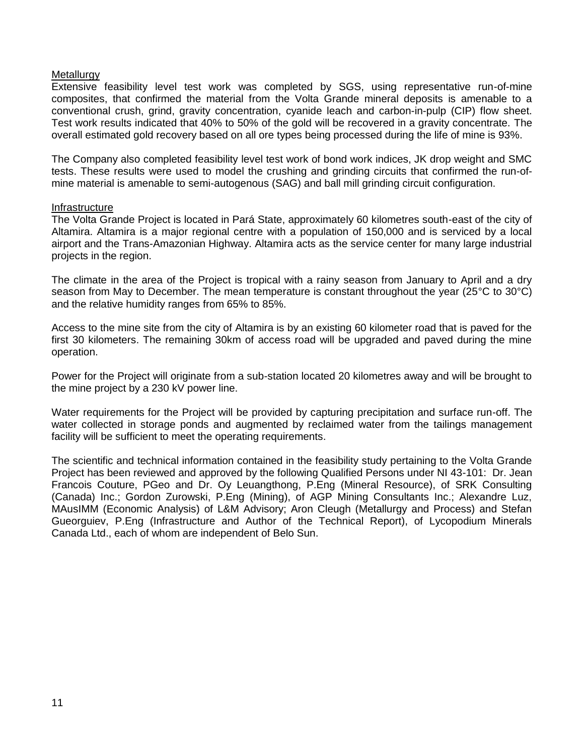#### **Metallurgy**

Extensive feasibility level test work was completed by SGS, using representative run-of-mine composites, that confirmed the material from the Volta Grande mineral deposits is amenable to a conventional crush, grind, gravity concentration, cyanide leach and carbon-in-pulp (CIP) flow sheet. Test work results indicated that 40% to 50% of the gold will be recovered in a gravity concentrate. The overall estimated gold recovery based on all ore types being processed during the life of mine is 93%.

The Company also completed feasibility level test work of bond work indices, JK drop weight and SMC tests. These results were used to model the crushing and grinding circuits that confirmed the run-ofmine material is amenable to semi-autogenous (SAG) and ball mill grinding circuit configuration.

#### Infrastructure

The Volta Grande Project is located in Pará State, approximately 60 kilometres south-east of the city of Altamira. Altamira is a major regional centre with a population of 150,000 and is serviced by a local airport and the Trans-Amazonian Highway. Altamira acts as the service center for many large industrial projects in the region.

The climate in the area of the Project is tropical with a rainy season from January to April and a dry season from May to December. The mean temperature is constant throughout the year (25°C to 30°C) and the relative humidity ranges from 65% to 85%.

Access to the mine site from the city of Altamira is by an existing 60 kilometer road that is paved for the first 30 kilometers. The remaining 30km of access road will be upgraded and paved during the mine operation.

Power for the Project will originate from a sub-station located 20 kilometres away and will be brought to the mine project by a 230 kV power line.

Water requirements for the Project will be provided by capturing precipitation and surface run-off. The water collected in storage ponds and augmented by reclaimed water from the tailings management facility will be sufficient to meet the operating requirements.

The scientific and technical information contained in the feasibility study pertaining to the Volta Grande Project has been reviewed and approved by the following Qualified Persons under NI 43-101: Dr. Jean Francois Couture, PGeo and Dr. Oy Leuangthong, P.Eng (Mineral Resource), of SRK Consulting (Canada) Inc.; Gordon Zurowski, P.Eng (Mining), of AGP Mining Consultants Inc.; Alexandre Luz, MAusIMM (Economic Analysis) of L&M Advisory; Aron Cleugh (Metallurgy and Process) and Stefan Gueorguiev, P.Eng (Infrastructure and Author of the Technical Report), of Lycopodium Minerals Canada Ltd., each of whom are independent of Belo Sun.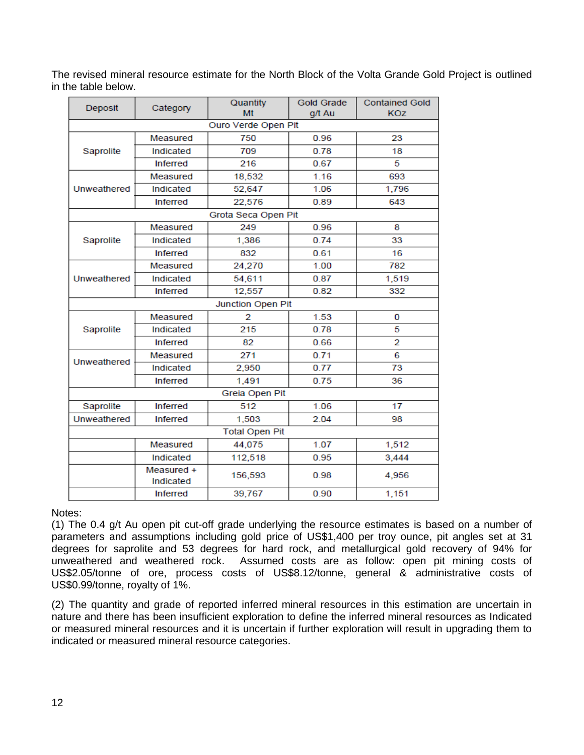The revised mineral resource estimate for the North Block of the Volta Grande Gold Project is outlined in the table below.

| Deposit     | Category                | Quantity              | <b>Gold Grade</b> | <b>Contained Gold</b> |  |  |
|-------------|-------------------------|-----------------------|-------------------|-----------------------|--|--|
|             |                         | Mt                    | g/t Au            | <b>KOZ</b>            |  |  |
|             |                         | Ouro Verde Open Pit   |                   |                       |  |  |
|             | Measured                | 750                   | 0.96              | 23                    |  |  |
| Saprolite   | Indicated               | 709                   | 0.78              | 18                    |  |  |
|             | <b>Inferred</b>         | 216                   | 0.67              | 5                     |  |  |
|             | Measured                | 18,532                | 1.16              | 693                   |  |  |
| Unweathered | Indicated               | 52,647                | 1.06              | 1,796                 |  |  |
|             | <b>Inferred</b>         | 22,576                | 0.89              | 643                   |  |  |
|             |                         | Grota Seca Open Pit   |                   |                       |  |  |
|             | Measured                | 249                   | 0.96              | 8                     |  |  |
| Saprolite   | Indicated               | 1,386                 | 0.74              | 33                    |  |  |
|             | <b>Inferred</b>         | 832                   | 0.61              | 16                    |  |  |
|             | Measured                | 24,270                | 1.00              | 782                   |  |  |
| Unweathered | Indicated               | 54,611                | 0.87              | 1,519                 |  |  |
|             | <b>Inferred</b>         | 12,557                | 0.82              | 332                   |  |  |
|             |                         | Junction Open Pit     |                   |                       |  |  |
|             | Measured                | 2                     | 1.53              | 0                     |  |  |
| Saprolite   | Indicated               | 215                   | 0.78              | 5                     |  |  |
|             | <b>Inferred</b>         | 82                    | 0.66              | $\overline{2}$        |  |  |
| Unweathered | Measured                | 271                   | 0.71              | 6                     |  |  |
|             | Indicated               | 2,950                 | 0.77              | 73                    |  |  |
|             | Inferred                | 1,491                 | 0.75              |                       |  |  |
|             |                         | Greia Open Pit        |                   |                       |  |  |
| Saprolite   | <b>Inferred</b>         | 512                   | 1.06              | 17                    |  |  |
| Unweathered | <b>Inferred</b>         | 1,503                 | 2.04              | 98                    |  |  |
|             |                         | <b>Total Open Pit</b> |                   |                       |  |  |
|             | Measured                | 44,075                | 1.07              | 1,512                 |  |  |
|             | Indicated               | 112,518               | 0.95              | 3,444                 |  |  |
|             | Measured +<br>Indicated | 156,593               | 0.98              | 4,956                 |  |  |
|             | <b>Inferred</b>         | 39,767                | 0.90              | 1,151                 |  |  |

Notes:

(1) The 0.4 g/t Au open pit cut-off grade underlying the resource estimates is based on a number of parameters and assumptions including gold price of US\$1,400 per troy ounce, pit angles set at 31 degrees for saprolite and 53 degrees for hard rock, and metallurgical gold recovery of 94% for unweathered and weathered rock. Assumed costs are as follow: open pit mining costs of US\$2.05/tonne of ore, process costs of US\$8.12/tonne, general & administrative costs of US\$0.99/tonne, royalty of 1%.

(2) The quantity and grade of reported inferred mineral resources in this estimation are uncertain in nature and there has been insufficient exploration to define the inferred mineral resources as Indicated or measured mineral resources and it is uncertain if further exploration will result in upgrading them to indicated or measured mineral resource categories.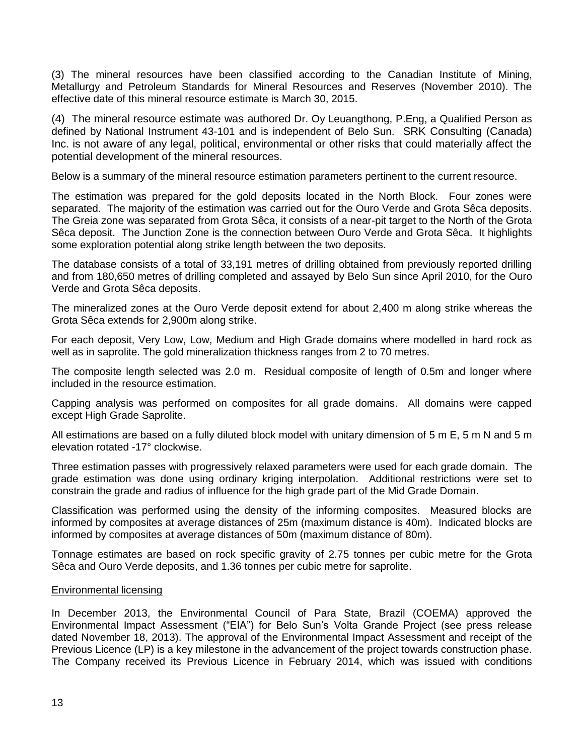(3) The mineral resources have been classified according to the Canadian Institute of Mining, Metallurgy and Petroleum Standards for Mineral Resources and Reserves (November 2010). The effective date of this mineral resource estimate is March 30, 2015.

(4) The mineral resource estimate was authored Dr. Oy Leuangthong, P.Eng, a Qualified Person as defined by National Instrument 43-101 and is independent of Belo Sun. SRK Consulting (Canada) Inc. is not aware of any legal, political, environmental or other risks that could materially affect the potential development of the mineral resources.

Below is a summary of the mineral resource estimation parameters pertinent to the current resource.

The estimation was prepared for the gold deposits located in the North Block. Four zones were separated. The majority of the estimation was carried out for the Ouro Verde and Grota Sêca deposits. The Greia zone was separated from Grota Sêca, it consists of a near-pit target to the North of the Grota Sêca deposit. The Junction Zone is the connection between Ouro Verde and Grota Sêca. It highlights some exploration potential along strike length between the two deposits.

The database consists of a total of 33,191 metres of drilling obtained from previously reported drilling and from 180,650 metres of drilling completed and assayed by Belo Sun since April 2010, for the Ouro Verde and Grota Sêca deposits.

The mineralized zones at the Ouro Verde deposit extend for about 2,400 m along strike whereas the Grota Sêca extends for 2,900m along strike.

For each deposit, Very Low, Low, Medium and High Grade domains where modelled in hard rock as well as in saprolite. The gold mineralization thickness ranges from 2 to 70 metres.

The composite length selected was 2.0 m. Residual composite of length of 0.5m and longer where included in the resource estimation.

Capping analysis was performed on composites for all grade domains. All domains were capped except High Grade Saprolite.

All estimations are based on a fully diluted block model with unitary dimension of 5 m E, 5 m N and 5 m elevation rotated -17° clockwise.

Three estimation passes with progressively relaxed parameters were used for each grade domain. The grade estimation was done using ordinary kriging interpolation. Additional restrictions were set to constrain the grade and radius of influence for the high grade part of the Mid Grade Domain.

Classification was performed using the density of the informing composites. Measured blocks are informed by composites at average distances of 25m (maximum distance is 40m). Indicated blocks are informed by composites at average distances of 50m (maximum distance of 80m).

Tonnage estimates are based on rock specific gravity of 2.75 tonnes per cubic metre for the Grota Sêca and Ouro Verde deposits, and 1.36 tonnes per cubic metre for saprolite.

#### Environmental licensing

In December 2013, the Environmental Council of Para State, Brazil (COEMA) approved the Environmental Impact Assessment ("EIA") for Belo Sun's Volta Grande Project (see press release dated November 18, 2013). The approval of the Environmental Impact Assessment and receipt of the Previous Licence (LP) is a key milestone in the advancement of the project towards construction phase. The Company received its Previous Licence in February 2014, which was issued with conditions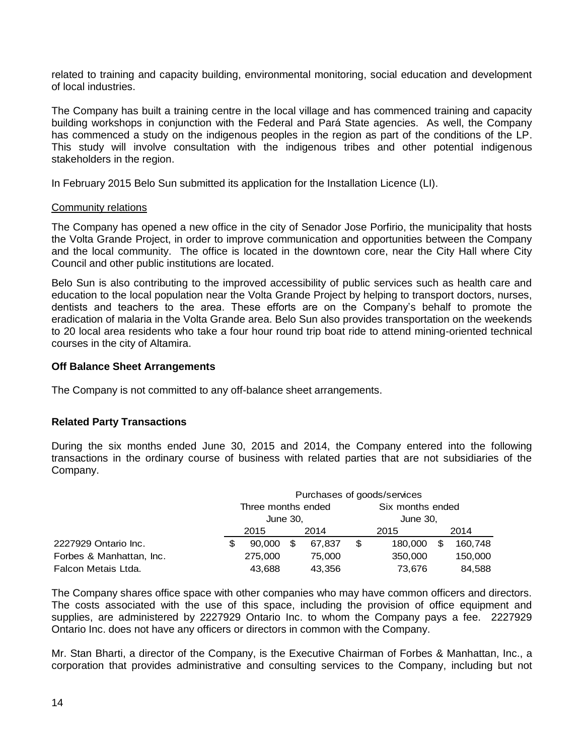related to training and capacity building, environmental monitoring, social education and development of local industries.

The Company has built a training centre in the local village and has commenced training and capacity building workshops in conjunction with the Federal and Pará State agencies. As well, the Company has commenced a study on the indigenous peoples in the region as part of the conditions of the LP. This study will involve consultation with the indigenous tribes and other potential indigenous stakeholders in the region.

In February 2015 Belo Sun submitted its application for the Installation Licence (LI).

#### Community relations

The Company has opened a new office in the city of Senador Jose Porfirio, the municipality that hosts the Volta Grande Project, in order to improve communication and opportunities between the Company and the local community. The office is located in the downtown core, near the City Hall where City Council and other public institutions are located.

Belo Sun is also contributing to the improved accessibility of public services such as health care and education to the local population near the Volta Grande Project by helping to transport doctors, nurses, dentists and teachers to the area. These efforts are on the Company's behalf to promote the eradication of malaria in the Volta Grande area. Belo Sun also provides transportation on the weekends to 20 local area residents who take a four hour round trip boat ride to attend mining-oriented technical courses in the city of Altamira.

## **Off Balance Sheet Arrangements**

The Company is not committed to any off-balance sheet arrangements.

# **Related Party Transactions**

During the six months ended June 30, 2015 and 2014, the Company entered into the following transactions in the ordinary course of business with related parties that are not subsidiaries of the Company.

|                          |   | Purchases of goods/services    |   |        |                              |         |     |         |
|--------------------------|---|--------------------------------|---|--------|------------------------------|---------|-----|---------|
|                          |   | Three months ended<br>June 30, |   |        | Six months ended<br>June 30, |         |     |         |
|                          |   |                                |   |        |                              |         |     |         |
|                          |   | 2015                           |   | 2014   |                              | 2015    |     | 2014    |
| 2227929 Ontario Inc.     | S | 90,000                         | S | 67.837 | \$                           | 180,000 | \$. | 160,748 |
| Forbes & Manhattan, Inc. |   | 275,000                        |   | 75,000 |                              | 350,000 |     | 150,000 |
| Falcon Metais Ltda.      |   | 43,688                         |   | 43,356 |                              | 73,676  |     | 84,588  |

The Company shares office space with other companies who may have common officers and directors. The costs associated with the use of this space, including the provision of office equipment and supplies, are administered by 2227929 Ontario Inc. to whom the Company pays a fee. 2227929 Ontario Inc. does not have any officers or directors in common with the Company.

Mr. Stan Bharti, a director of the Company, is the Executive Chairman of Forbes & Manhattan, Inc., a corporation that provides administrative and consulting services to the Company, including but not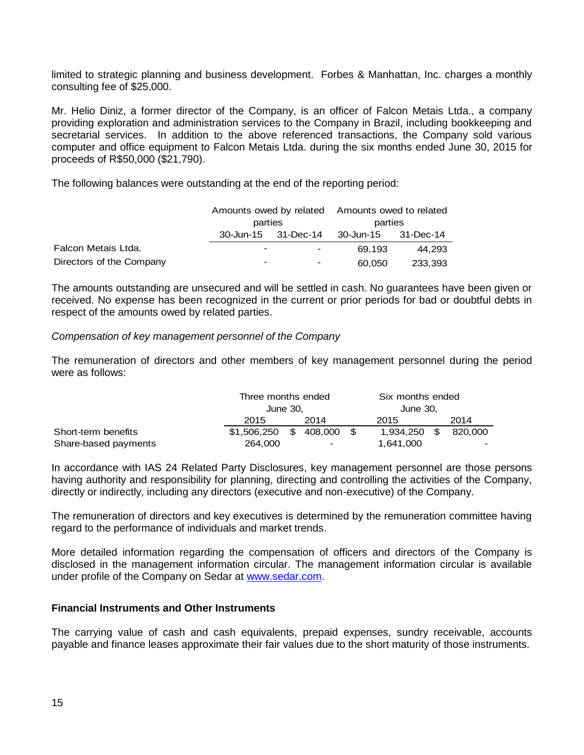limited to strategic planning and business development. Forbes & Manhattan, Inc. charges a monthly consulting fee of \$25,000.

Mr. Helio Diniz, a former director of the Company, is an officer of Falcon Metais Ltda., a company providing exploration and administration services to the Company in Brazil, including bookkeeping and secretarial services. In addition to the above referenced transactions, the Company sold various computer and office equipment to Falcon Metais Ltda. during the six months ended June 30, 2015 for proceeds of R\$50,000 (\$21,790).

The following balances were outstanding at the end of the reporting period:

|                          |                          |                          | Amounts owed by related Amounts owed to related |         |  |
|--------------------------|--------------------------|--------------------------|-------------------------------------------------|---------|--|
|                          | parties                  |                          | parties                                         |         |  |
|                          | 30-Jun-15 31-Dec-14      |                          | 30-Jun-15 31-Dec-14                             |         |  |
| Falcon Metais Ltda.      | $\overline{\phantom{0}}$ | $\blacksquare$           | 69.193                                          | 44.293  |  |
| Directors of the Company | -                        | $\overline{\phantom{0}}$ | 60,050                                          | 233.393 |  |

The amounts outstanding are unsecured and will be settled in cash. No guarantees have been given or received. No expense has been recognized in the current or prior periods for bad or doubtful debts in respect of the amounts owed by related parties.

## *Compensation of key management personnel of the Company*

The remuneration of directors and other members of key management personnel during the period were as follows:

|                      |                | Three months ended<br>June 30. |                |  | Six months ended |      |         |
|----------------------|----------------|--------------------------------|----------------|--|------------------|------|---------|
|                      |                |                                |                |  | June 30.         |      |         |
|                      | 2015           |                                | 2014           |  | 2015             |      | 2014    |
| Short-term benefits  | \$1,506,250 \$ |                                | 408.000 \$     |  | 1.934.250        | - \$ | 820.000 |
| Share-based payments | 264,000        |                                | $\blacksquare$ |  | 1,641,000        |      | -       |

In accordance with IAS 24 Related Party Disclosures, key management personnel are those persons having authority and responsibility for planning, directing and controlling the activities of the Company, directly or indirectly, including any directors (executive and non-executive) of the Company.

The remuneration of directors and key executives is determined by the remuneration committee having regard to the performance of individuals and market trends.

More detailed information regarding the compensation of officers and directors of the Company is disclosed in the management information circular. The management information circular is available under profile of the Company on Sedar at [www.sedar.com.](http://www.sedar.com/)

#### **Financial Instruments and Other Instruments**

The carrying value of cash and cash equivalents, prepaid expenses, sundry receivable, accounts payable and finance leases approximate their fair values due to the short maturity of those instruments.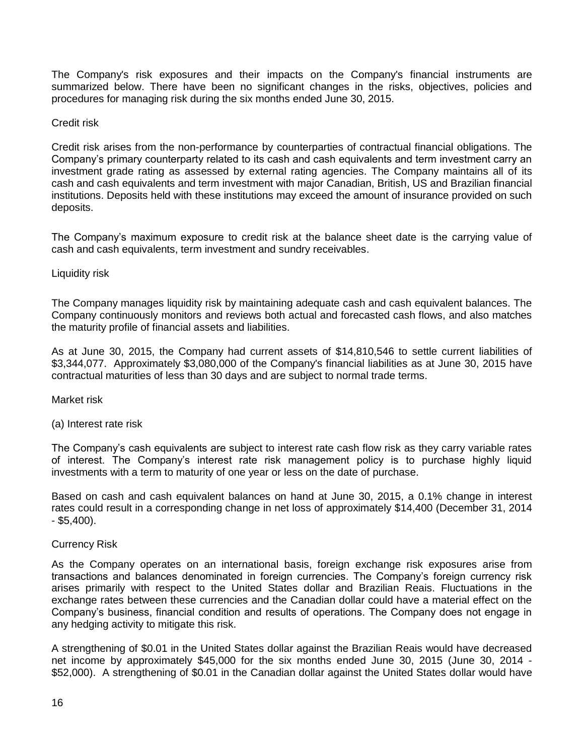The Company's risk exposures and their impacts on the Company's financial instruments are summarized below. There have been no significant changes in the risks, objectives, policies and procedures for managing risk during the six months ended June 30, 2015.

## Credit risk

Credit risk arises from the non-performance by counterparties of contractual financial obligations. The Company's primary counterparty related to its cash and cash equivalents and term investment carry an investment grade rating as assessed by external rating agencies. The Company maintains all of its cash and cash equivalents and term investment with major Canadian, British, US and Brazilian financial institutions. Deposits held with these institutions may exceed the amount of insurance provided on such deposits.

The Company's maximum exposure to credit risk at the balance sheet date is the carrying value of cash and cash equivalents, term investment and sundry receivables.

## Liquidity risk

The Company manages liquidity risk by maintaining adequate cash and cash equivalent balances. The Company continuously monitors and reviews both actual and forecasted cash flows, and also matches the maturity profile of financial assets and liabilities.

As at June 30, 2015, the Company had current assets of \$14,810,546 to settle current liabilities of \$3,344,077. Approximately \$3,080,000 of the Company's financial liabilities as at June 30, 2015 have contractual maturities of less than 30 days and are subject to normal trade terms.

Market risk

(a) Interest rate risk

The Company's cash equivalents are subject to interest rate cash flow risk as they carry variable rates of interest. The Company's interest rate risk management policy is to purchase highly liquid investments with a term to maturity of one year or less on the date of purchase.

Based on cash and cash equivalent balances on hand at June 30, 2015, a 0.1% change in interest rates could result in a corresponding change in net loss of approximately \$14,400 (December 31, 2014  $-$  \$5.400).

#### Currency Risk

As the Company operates on an international basis, foreign exchange risk exposures arise from transactions and balances denominated in foreign currencies. The Company's foreign currency risk arises primarily with respect to the United States dollar and Brazilian Reais. Fluctuations in the exchange rates between these currencies and the Canadian dollar could have a material effect on the Company's business, financial condition and results of operations. The Company does not engage in any hedging activity to mitigate this risk.

A strengthening of \$0.01 in the United States dollar against the Brazilian Reais would have decreased net income by approximately \$45,000 for the six months ended June 30, 2015 (June 30, 2014 - \$52,000). A strengthening of \$0.01 in the Canadian dollar against the United States dollar would have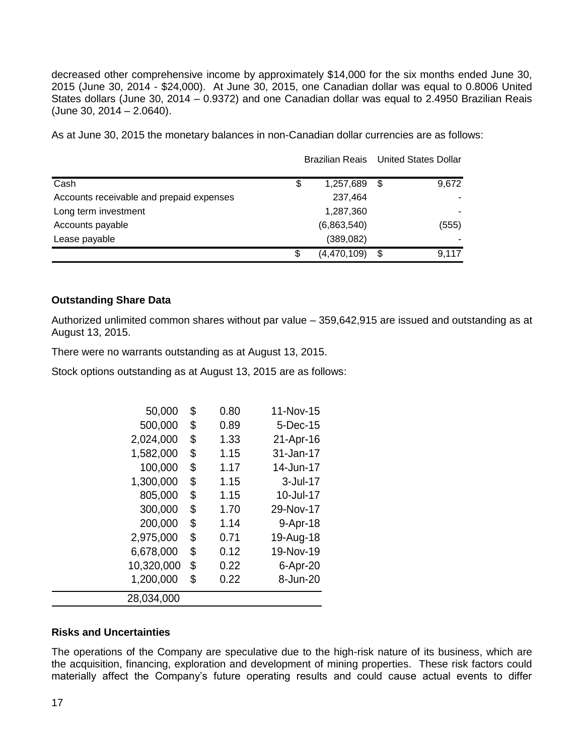decreased other comprehensive income by approximately \$14,000 for the six months ended June 30, 2015 (June 30, 2014 - \$24,000). At June 30, 2015, one Canadian dollar was equal to 0.8006 United States dollars (June 30, 2014 – 0.9372) and one Canadian dollar was equal to 2.4950 Brazilian Reais (June 30, 2014 – 2.0640).

As at June 30, 2015 the monetary balances in non-Canadian dollar currencies are as follows:

|                                          |                   | Brazilian Reais United States Dollar |  |
|------------------------------------------|-------------------|--------------------------------------|--|
| Cash                                     | \$<br>1,257,689   | \$<br>9,672                          |  |
| Accounts receivable and prepaid expenses | 237,464           |                                      |  |
| Long term investment                     | 1,287,360         |                                      |  |
| Accounts payable                         | (6,863,540)       | (555)                                |  |
| Lease payable                            | (389, 082)        |                                      |  |
|                                          | \$<br>(4,470,109) | \$<br>9,117                          |  |

## **Outstanding Share Data**

Authorized unlimited common shares without par value – 359,642,915 are issued and outstanding as at August 13, 2015.

There were no warrants outstanding as at August 13, 2015.

Stock options outstanding as at August 13, 2015 are as follows:

| 50,000     | \$<br>0.80 | 11-Nov-15 |
|------------|------------|-----------|
| 500,000    | \$<br>0.89 | 5-Dec-15  |
| 2,024,000  | \$<br>1.33 | 21-Apr-16 |
| 1,582,000  | \$<br>1.15 | 31-Jan-17 |
| 100,000    | \$<br>1.17 | 14-Jun-17 |
| 1,300,000  | \$<br>1.15 | 3-Jul-17  |
| 805,000    | \$<br>1.15 | 10-Jul-17 |
| 300,000    | \$<br>1.70 | 29-Nov-17 |
| 200,000    | \$<br>1.14 | 9-Apr-18  |
| 2,975,000  | \$<br>0.71 | 19-Aug-18 |
| 6,678,000  | \$<br>0.12 | 19-Nov-19 |
| 10,320,000 | \$<br>0.22 | 6-Apr-20  |
| 1,200,000  | \$<br>0.22 | 8-Jun-20  |
| 28,034,000 |            |           |

## **Risks and Uncertainties**

The operations of the Company are speculative due to the high-risk nature of its business, which are the acquisition, financing, exploration and development of mining properties. These risk factors could materially affect the Company's future operating results and could cause actual events to differ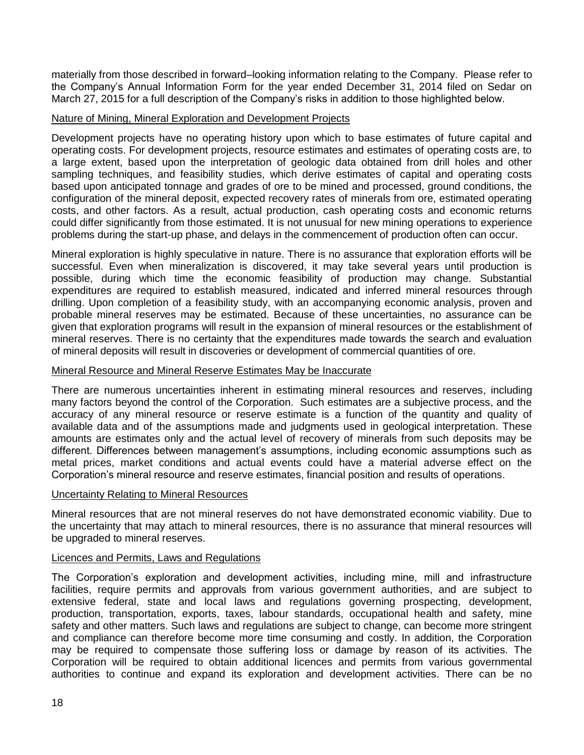materially from those described in forward–looking information relating to the Company. Please refer to the Company's Annual Information Form for the year ended December 31, 2014 filed on Sedar on March 27, 2015 for a full description of the Company's risks in addition to those highlighted below.

## Nature of Mining, Mineral Exploration and Development Projects

Development projects have no operating history upon which to base estimates of future capital and operating costs. For development projects, resource estimates and estimates of operating costs are, to a large extent, based upon the interpretation of geologic data obtained from drill holes and other sampling techniques, and feasibility studies, which derive estimates of capital and operating costs based upon anticipated tonnage and grades of ore to be mined and processed, ground conditions, the configuration of the mineral deposit, expected recovery rates of minerals from ore, estimated operating costs, and other factors. As a result, actual production, cash operating costs and economic returns could differ significantly from those estimated. It is not unusual for new mining operations to experience problems during the start-up phase, and delays in the commencement of production often can occur.

Mineral exploration is highly speculative in nature. There is no assurance that exploration efforts will be successful. Even when mineralization is discovered, it may take several years until production is possible, during which time the economic feasibility of production may change. Substantial expenditures are required to establish measured, indicated and inferred mineral resources through drilling. Upon completion of a feasibility study, with an accompanying economic analysis, proven and probable mineral reserves may be estimated. Because of these uncertainties, no assurance can be given that exploration programs will result in the expansion of mineral resources or the establishment of mineral reserves. There is no certainty that the expenditures made towards the search and evaluation of mineral deposits will result in discoveries or development of commercial quantities of ore.

## Mineral Resource and Mineral Reserve Estimates May be Inaccurate

There are numerous uncertainties inherent in estimating mineral resources and reserves, including many factors beyond the control of the Corporation. Such estimates are a subjective process, and the accuracy of any mineral resource or reserve estimate is a function of the quantity and quality of available data and of the assumptions made and judgments used in geological interpretation. These amounts are estimates only and the actual level of recovery of minerals from such deposits may be different. Differences between management's assumptions, including economic assumptions such as metal prices, market conditions and actual events could have a material adverse effect on the Corporation's mineral resource and reserve estimates, financial position and results of operations.

#### Uncertainty Relating to Mineral Resources

Mineral resources that are not mineral reserves do not have demonstrated economic viability. Due to the uncertainty that may attach to mineral resources, there is no assurance that mineral resources will be upgraded to mineral reserves.

#### Licences and Permits, Laws and Regulations

The Corporation's exploration and development activities, including mine, mill and infrastructure facilities, require permits and approvals from various government authorities, and are subject to extensive federal, state and local laws and regulations governing prospecting, development, production, transportation, exports, taxes, labour standards, occupational health and safety, mine safety and other matters. Such laws and regulations are subject to change, can become more stringent and compliance can therefore become more time consuming and costly. In addition, the Corporation may be required to compensate those suffering loss or damage by reason of its activities. The Corporation will be required to obtain additional licences and permits from various governmental authorities to continue and expand its exploration and development activities. There can be no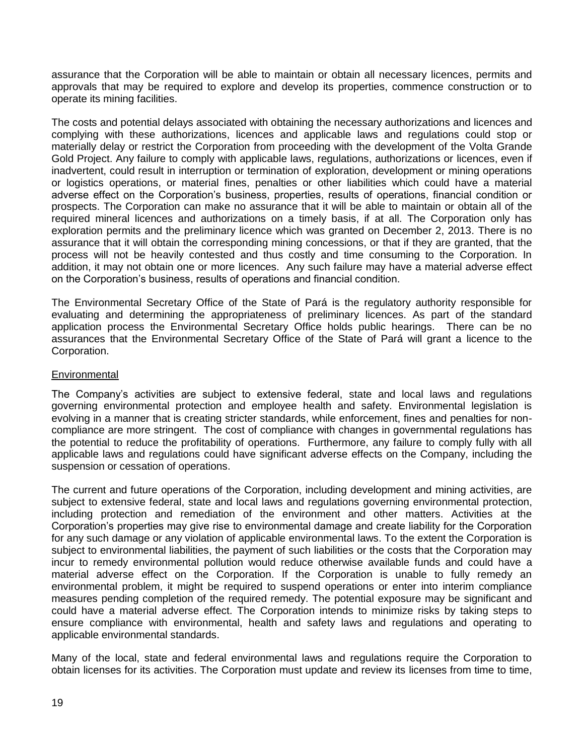assurance that the Corporation will be able to maintain or obtain all necessary licences, permits and approvals that may be required to explore and develop its properties, commence construction or to operate its mining facilities.

The costs and potential delays associated with obtaining the necessary authorizations and licences and complying with these authorizations, licences and applicable laws and regulations could stop or materially delay or restrict the Corporation from proceeding with the development of the Volta Grande Gold Project. Any failure to comply with applicable laws, regulations, authorizations or licences, even if inadvertent, could result in interruption or termination of exploration, development or mining operations or logistics operations, or material fines, penalties or other liabilities which could have a material adverse effect on the Corporation's business, properties, results of operations, financial condition or prospects. The Corporation can make no assurance that it will be able to maintain or obtain all of the required mineral licences and authorizations on a timely basis, if at all. The Corporation only has exploration permits and the preliminary licence which was granted on December 2, 2013. There is no assurance that it will obtain the corresponding mining concessions, or that if they are granted, that the process will not be heavily contested and thus costly and time consuming to the Corporation. In addition, it may not obtain one or more licences. Any such failure may have a material adverse effect on the Corporation's business, results of operations and financial condition.

The Environmental Secretary Office of the State of Pará is the regulatory authority responsible for evaluating and determining the appropriateness of preliminary licences. As part of the standard application process the Environmental Secretary Office holds public hearings. There can be no assurances that the Environmental Secretary Office of the State of Pará will grant a licence to the Corporation.

# **Environmental**

The Company's activities are subject to extensive federal, state and local laws and regulations governing environmental protection and employee health and safety. Environmental legislation is evolving in a manner that is creating stricter standards, while enforcement, fines and penalties for noncompliance are more stringent. The cost of compliance with changes in governmental regulations has the potential to reduce the profitability of operations. Furthermore, any failure to comply fully with all applicable laws and regulations could have significant adverse effects on the Company, including the suspension or cessation of operations.

The current and future operations of the Corporation, including development and mining activities, are subject to extensive federal, state and local laws and regulations governing environmental protection, including protection and remediation of the environment and other matters. Activities at the Corporation's properties may give rise to environmental damage and create liability for the Corporation for any such damage or any violation of applicable environmental laws. To the extent the Corporation is subject to environmental liabilities, the payment of such liabilities or the costs that the Corporation may incur to remedy environmental pollution would reduce otherwise available funds and could have a material adverse effect on the Corporation. If the Corporation is unable to fully remedy an environmental problem, it might be required to suspend operations or enter into interim compliance measures pending completion of the required remedy. The potential exposure may be significant and could have a material adverse effect. The Corporation intends to minimize risks by taking steps to ensure compliance with environmental, health and safety laws and regulations and operating to applicable environmental standards.

Many of the local, state and federal environmental laws and regulations require the Corporation to obtain licenses for its activities. The Corporation must update and review its licenses from time to time,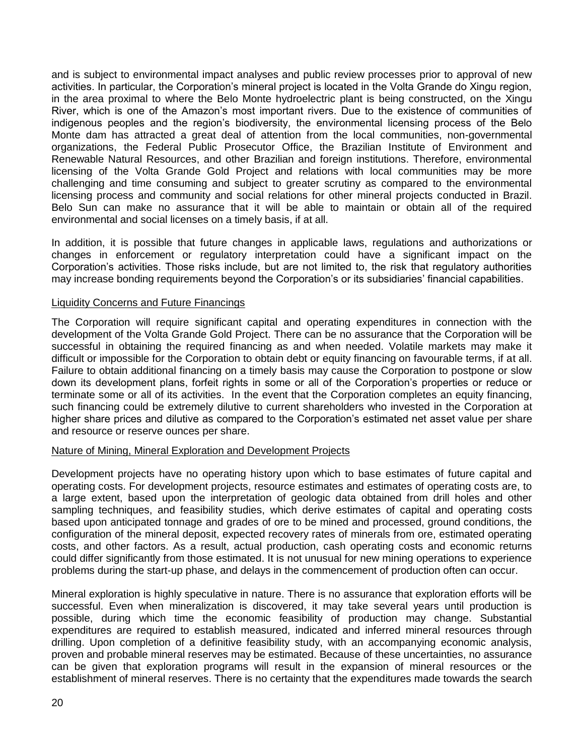and is subject to environmental impact analyses and public review processes prior to approval of new activities. In particular, the Corporation's mineral project is located in the Volta Grande do Xingu region, in the area proximal to where the Belo Monte hydroelectric plant is being constructed, on the Xingu River, which is one of the Amazon's most important rivers. Due to the existence of communities of indigenous peoples and the region's biodiversity, the environmental licensing process of the Belo Monte dam has attracted a great deal of attention from the local communities, non-governmental organizations, the Federal Public Prosecutor Office, the Brazilian Institute of Environment and Renewable Natural Resources, and other Brazilian and foreign institutions. Therefore, environmental licensing of the Volta Grande Gold Project and relations with local communities may be more challenging and time consuming and subject to greater scrutiny as compared to the environmental licensing process and community and social relations for other mineral projects conducted in Brazil. Belo Sun can make no assurance that it will be able to maintain or obtain all of the required environmental and social licenses on a timely basis, if at all.

In addition, it is possible that future changes in applicable laws, regulations and authorizations or changes in enforcement or regulatory interpretation could have a significant impact on the Corporation's activities. Those risks include, but are not limited to, the risk that regulatory authorities may increase bonding requirements beyond the Corporation's or its subsidiaries' financial capabilities.

## Liquidity Concerns and Future Financings

The Corporation will require significant capital and operating expenditures in connection with the development of the Volta Grande Gold Project. There can be no assurance that the Corporation will be successful in obtaining the required financing as and when needed. Volatile markets may make it difficult or impossible for the Corporation to obtain debt or equity financing on favourable terms, if at all. Failure to obtain additional financing on a timely basis may cause the Corporation to postpone or slow down its development plans, forfeit rights in some or all of the Corporation's properties or reduce or terminate some or all of its activities. In the event that the Corporation completes an equity financing, such financing could be extremely dilutive to current shareholders who invested in the Corporation at higher share prices and dilutive as compared to the Corporation's estimated net asset value per share and resource or reserve ounces per share.

#### Nature of Mining, Mineral Exploration and Development Projects

Development projects have no operating history upon which to base estimates of future capital and operating costs. For development projects, resource estimates and estimates of operating costs are, to a large extent, based upon the interpretation of geologic data obtained from drill holes and other sampling techniques, and feasibility studies, which derive estimates of capital and operating costs based upon anticipated tonnage and grades of ore to be mined and processed, ground conditions, the configuration of the mineral deposit, expected recovery rates of minerals from ore, estimated operating costs, and other factors. As a result, actual production, cash operating costs and economic returns could differ significantly from those estimated. It is not unusual for new mining operations to experience problems during the start-up phase, and delays in the commencement of production often can occur.

Mineral exploration is highly speculative in nature. There is no assurance that exploration efforts will be successful. Even when mineralization is discovered, it may take several years until production is possible, during which time the economic feasibility of production may change. Substantial expenditures are required to establish measured, indicated and inferred mineral resources through drilling. Upon completion of a definitive feasibility study, with an accompanying economic analysis, proven and probable mineral reserves may be estimated. Because of these uncertainties, no assurance can be given that exploration programs will result in the expansion of mineral resources or the establishment of mineral reserves. There is no certainty that the expenditures made towards the search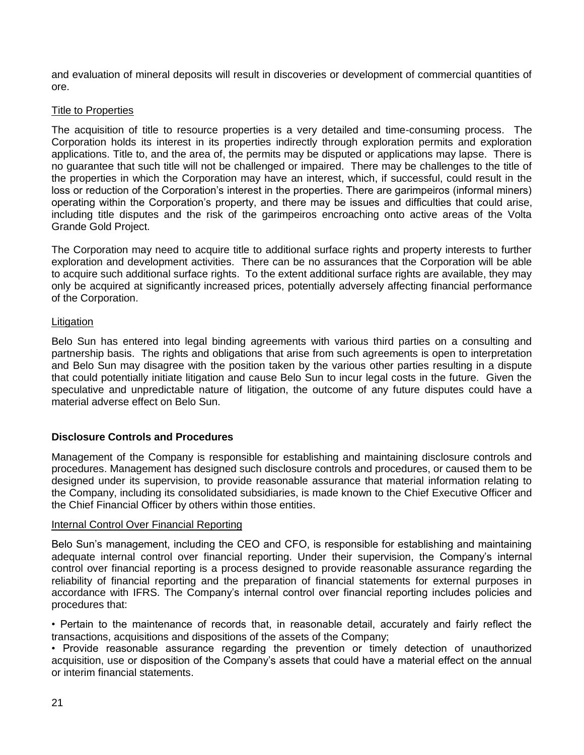and evaluation of mineral deposits will result in discoveries or development of commercial quantities of ore.

# Title to Properties

The acquisition of title to resource properties is a very detailed and time-consuming process. The Corporation holds its interest in its properties indirectly through exploration permits and exploration applications. Title to, and the area of, the permits may be disputed or applications may lapse. There is no guarantee that such title will not be challenged or impaired. There may be challenges to the title of the properties in which the Corporation may have an interest, which, if successful, could result in the loss or reduction of the Corporation's interest in the properties. There are garimpeiros (informal miners) operating within the Corporation's property, and there may be issues and difficulties that could arise, including title disputes and the risk of the garimpeiros encroaching onto active areas of the Volta Grande Gold Project.

The Corporation may need to acquire title to additional surface rights and property interests to further exploration and development activities. There can be no assurances that the Corporation will be able to acquire such additional surface rights. To the extent additional surface rights are available, they may only be acquired at significantly increased prices, potentially adversely affecting financial performance of the Corporation.

# Litigation

Belo Sun has entered into legal binding agreements with various third parties on a consulting and partnership basis. The rights and obligations that arise from such agreements is open to interpretation and Belo Sun may disagree with the position taken by the various other parties resulting in a dispute that could potentially initiate litigation and cause Belo Sun to incur legal costs in the future. Given the speculative and unpredictable nature of litigation, the outcome of any future disputes could have a material adverse effect on Belo Sun.

# **Disclosure Controls and Procedures**

Management of the Company is responsible for establishing and maintaining disclosure controls and procedures. Management has designed such disclosure controls and procedures, or caused them to be designed under its supervision, to provide reasonable assurance that material information relating to the Company, including its consolidated subsidiaries, is made known to the Chief Executive Officer and the Chief Financial Officer by others within those entities.

# Internal Control Over Financial Reporting

Belo Sun's management, including the CEO and CFO, is responsible for establishing and maintaining adequate internal control over financial reporting. Under their supervision, the Company's internal control over financial reporting is a process designed to provide reasonable assurance regarding the reliability of financial reporting and the preparation of financial statements for external purposes in accordance with IFRS. The Company's internal control over financial reporting includes policies and procedures that:

• Pertain to the maintenance of records that, in reasonable detail, accurately and fairly reflect the transactions, acquisitions and dispositions of the assets of the Company;

• Provide reasonable assurance regarding the prevention or timely detection of unauthorized acquisition, use or disposition of the Company's assets that could have a material effect on the annual or interim financial statements.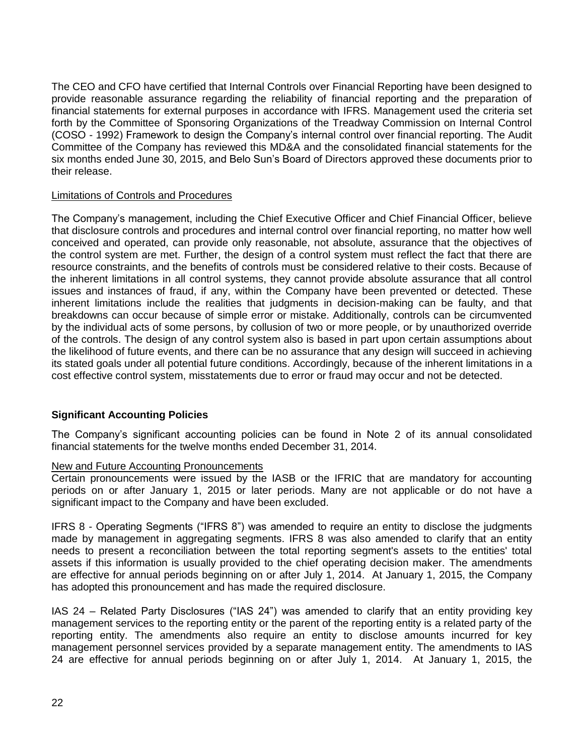The CEO and CFO have certified that Internal Controls over Financial Reporting have been designed to provide reasonable assurance regarding the reliability of financial reporting and the preparation of financial statements for external purposes in accordance with IFRS. Management used the criteria set forth by the Committee of Sponsoring Organizations of the Treadway Commission on Internal Control (COSO - 1992) Framework to design the Company's internal control over financial reporting. The Audit Committee of the Company has reviewed this MD&A and the consolidated financial statements for the six months ended June 30, 2015, and Belo Sun's Board of Directors approved these documents prior to their release.

## Limitations of Controls and Procedures

The Company's management, including the Chief Executive Officer and Chief Financial Officer, believe that disclosure controls and procedures and internal control over financial reporting, no matter how well conceived and operated, can provide only reasonable, not absolute, assurance that the objectives of the control system are met. Further, the design of a control system must reflect the fact that there are resource constraints, and the benefits of controls must be considered relative to their costs. Because of the inherent limitations in all control systems, they cannot provide absolute assurance that all control issues and instances of fraud, if any, within the Company have been prevented or detected. These inherent limitations include the realities that judgments in decision-making can be faulty, and that breakdowns can occur because of simple error or mistake. Additionally, controls can be circumvented by the individual acts of some persons, by collusion of two or more people, or by unauthorized override of the controls. The design of any control system also is based in part upon certain assumptions about the likelihood of future events, and there can be no assurance that any design will succeed in achieving its stated goals under all potential future conditions. Accordingly, because of the inherent limitations in a cost effective control system, misstatements due to error or fraud may occur and not be detected.

# **Significant Accounting Policies**

The Company's significant accounting policies can be found in Note 2 of its annual consolidated financial statements for the twelve months ended December 31, 2014.

#### New and Future Accounting Pronouncements

Certain pronouncements were issued by the IASB or the IFRIC that are mandatory for accounting periods on or after January 1, 2015 or later periods. Many are not applicable or do not have a significant impact to the Company and have been excluded.

IFRS 8 - Operating Segments ("IFRS 8") was amended to require an entity to disclose the judgments made by management in aggregating segments. IFRS 8 was also amended to clarify that an entity needs to present a reconciliation between the total reporting segment's assets to the entities' total assets if this information is usually provided to the chief operating decision maker. The amendments are effective for annual periods beginning on or after July 1, 2014. At January 1, 2015, the Company has adopted this pronouncement and has made the required disclosure.

IAS 24 – Related Party Disclosures ("IAS 24") was amended to clarify that an entity providing key management services to the reporting entity or the parent of the reporting entity is a related party of the reporting entity. The amendments also require an entity to disclose amounts incurred for key management personnel services provided by a separate management entity. The amendments to IAS 24 are effective for annual periods beginning on or after July 1, 2014. At January 1, 2015, the